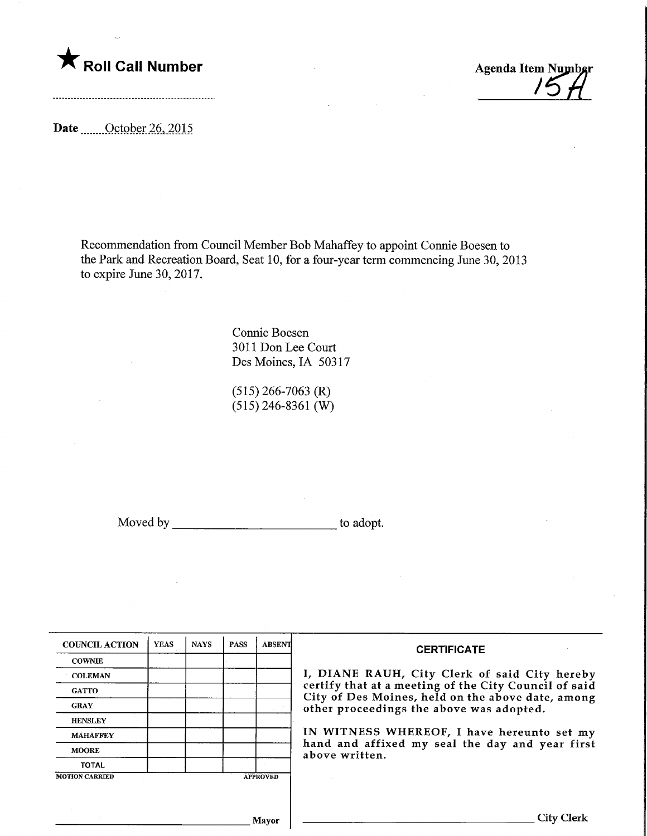

Agenda Item Numbar

Date Corober 26, 2015

Recommendation from Council Member Bob Mahaffey to appoint Connie Boesen to the Park and Recreation Board, Seat 10, for a four-year term commencing June 30,2013 to expire June 30, 2017.

> Connie Boesen 3011 Don Lee Court Des Moines, IA 50317

(515) 266-7063 (R)  $(515)$  246-8361 (W)

Moved by to adopt.

| <b>COUNCIL ACTION</b> | <b>YEAS</b> | <b>NAYS</b> | <b>PASS</b> | <b>ABSENT</b>   | <b>CERTIFICATE</b>                                                                            |
|-----------------------|-------------|-------------|-------------|-----------------|-----------------------------------------------------------------------------------------------|
| <b>COWNIE</b>         |             |             |             |                 |                                                                                               |
| <b>COLEMAN</b>        |             |             |             |                 | I, DIANE RAUH, City Clerk of said City hereby                                                 |
| <b>GATTO</b>          |             |             |             |                 | certify that at a meeting of the City Council of said                                         |
| <b>GRAY</b>           |             |             |             |                 | City of Des Moines, held on the above date, among<br>other proceedings the above was adopted. |
| <b>HENSLEY</b>        |             |             |             |                 |                                                                                               |
| <b>MAHAFFEY</b>       |             |             |             |                 | IN WITNESS WHEREOF, I have hereunto set my                                                    |
| <b>MOORE</b>          |             |             |             |                 | hand and affixed my seal the day and year first<br>above written.                             |
| <b>TOTAL</b>          |             |             |             |                 |                                                                                               |
| <b>MOTION CARRIED</b> |             |             |             | <b>APPROVED</b> |                                                                                               |
|                       |             |             |             |                 |                                                                                               |
|                       |             |             |             |                 |                                                                                               |
|                       |             |             |             | Mayor           | City Clerk                                                                                    |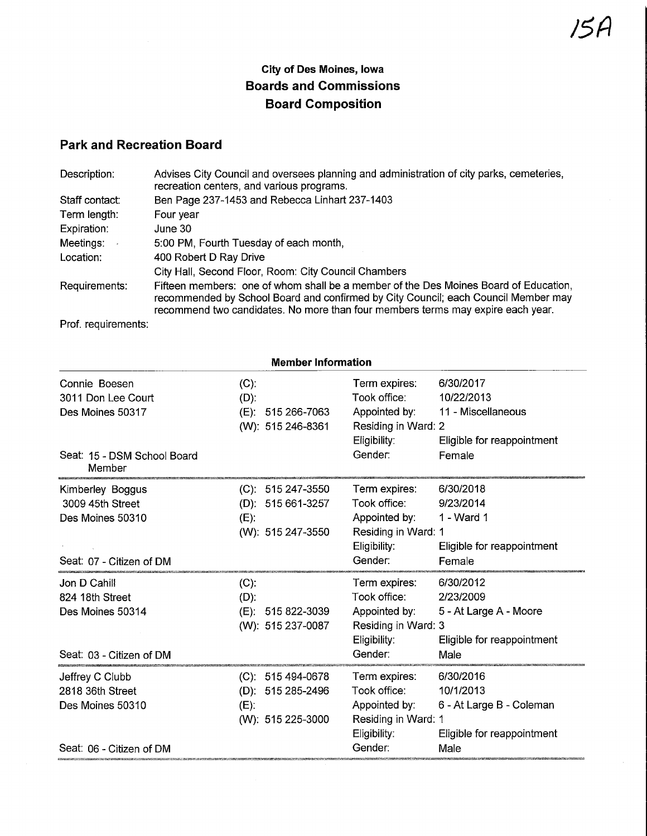## City of Des Moines, Iowa Boards and Commissions Board Composition

## Park and Recreation Board

| Description:   | Advises City Council and oversees planning and administration of city parks, cemeteries,<br>recreation centers, and various programs.                                                                                                                         |
|----------------|---------------------------------------------------------------------------------------------------------------------------------------------------------------------------------------------------------------------------------------------------------------|
| Staff contact: | Ben Page 237-1453 and Rebecca Linhart 237-1403                                                                                                                                                                                                                |
| Term length:   | Four year                                                                                                                                                                                                                                                     |
| Expiration:    | June 30                                                                                                                                                                                                                                                       |
| Meetings:      | 5:00 PM, Fourth Tuesday of each month,                                                                                                                                                                                                                        |
| Location:      | 400 Robert D Ray Drive                                                                                                                                                                                                                                        |
|                | City Hall, Second Floor, Room: City Council Chambers                                                                                                                                                                                                          |
| Requirements:  | Fifteen members: one of whom shall be a member of the Des Moines Board of Education,<br>recommended by School Board and confirmed by City Council; each Council Member may<br>recommend two candidates. No more than four members terms may expire each year. |

Prof. requirements:

| <b>Member Information</b>                                                            |                                                                              |                                                                                                  |                                                                                          |  |
|--------------------------------------------------------------------------------------|------------------------------------------------------------------------------|--------------------------------------------------------------------------------------------------|------------------------------------------------------------------------------------------|--|
| Connie Boesen<br>3011 Don Lee Court<br>Des Moines 50317                              | $(C)$ :<br>(D):<br>(E):<br>515 266-7063<br>(W): 515 246-8361                 | Term expires:<br>Took office:<br>Appointed by:<br>Residing in Ward: 2<br>Eligibility:            | 6/30/2017<br>10/22/2013<br>11 - Miscellaneous<br>Eligible for reappointment              |  |
| Seat: 15 - DSM School Board<br>Member                                                |                                                                              | Gender:                                                                                          | Female                                                                                   |  |
| Kimberley Boggus<br>3009 45th Street<br>Des Moines 50310<br>Seat: 07 - Citizen of DM | $(C)$ : 515 247-3550<br>$(D)$ : 515 661-3257<br>$(E)$ :<br>(W): 515 247-3550 | Term expires:<br>Took office:<br>Appointed by:<br>Residing in Ward: 1<br>Eligibility:<br>Gender: | 6/30/2018<br>9/23/2014<br>1 - Ward 1<br>Eligible for reappointment<br>Female             |  |
| Jon D Cahill<br>824 18th Street<br>Des Moines 50314<br>Seat: 03 - Citizen of DM      | (C).<br>$(D)$ :<br>(E): 515 822-3039<br>(W): 515 237-0087                    | Term expires:<br>Took office:<br>Appointed by:<br>Residing in Ward: 3<br>Eligibility:<br>Gender: | 6/30/2012<br>2/23/2009<br>5 - At Large A - Moore<br>Eligible for reappointment<br>Male   |  |
| Jeffrey C Clubb<br>2818 36th Street<br>Des Moines 50310<br>Seat: 06 - Citizen of DM  | (C): 515 494-0678<br>515 285-2496<br>$(D)$ :<br>$(E)$ :<br>(W): 515 225-3000 | Term expires:<br>Took office:<br>Appointed by:<br>Residing in Ward: 1<br>Eligibility:<br>Gender: | 6/30/2016<br>10/1/2013<br>6 - At Large B - Coleman<br>Eligible for reappointment<br>Male |  |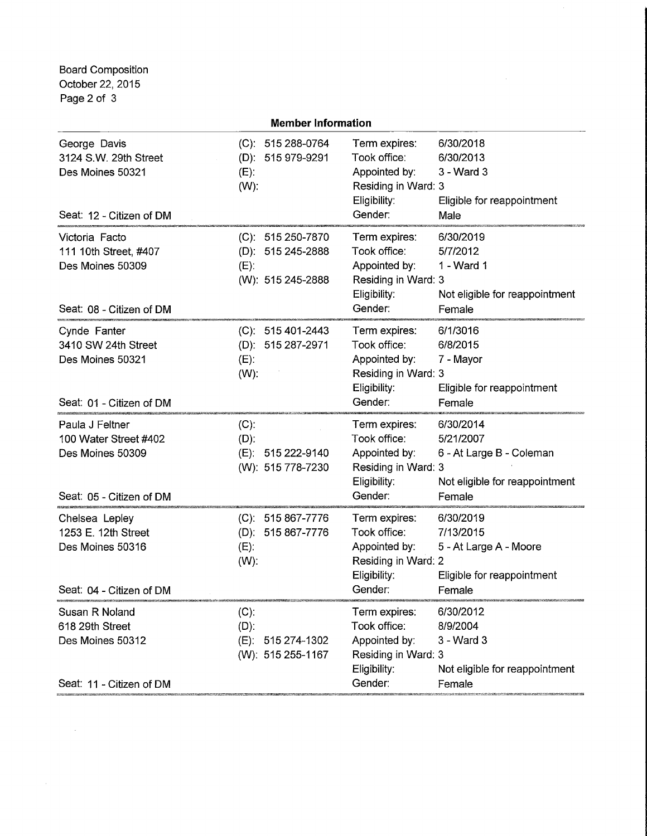Board Composition October 22, 2015 Page 2 of 3

 $\mathcal{L}(\mathcal{A})$  and  $\mathcal{L}(\mathcal{A})$ 

|                                                                                          | <b>Member Information</b>                                              |                                                                                                                                                                                                    |  |  |  |
|------------------------------------------------------------------------------------------|------------------------------------------------------------------------|----------------------------------------------------------------------------------------------------------------------------------------------------------------------------------------------------|--|--|--|
| George Davis<br>3124 S.W. 29th Street<br>Des Moines 50321<br>Seat: 12 - Citizen of DM    | (C): 515 288-0764<br>(D): 515 979-9291<br>$(E)$ :<br>$(W)$ :           | Term expires:<br>6/30/2018<br>Took office:<br>6/30/2013<br>Appointed by:<br>3 - Ward 3<br>Residing in Ward: 3<br>Eligibility:<br>Eligible for reappointment<br>Gender:<br>Male                     |  |  |  |
| Victoria Facto<br>111 10th Street, #407<br>Des Moines 50309<br>Seat: 08 - Citizen of DM  | (C): 515 250-7870<br>(D): 515 245-2888<br>$(E)$ :<br>(W): 515 245-2888 | 6/30/2019<br>Term expires:<br>Took office:<br>5/7/2012<br>Appointed by:<br>1 - Ward 1<br>Residing in Ward: 3<br>Eligibility:<br>Not eligible for reappointment<br>Gender:<br>Female                |  |  |  |
| Cynde Fanter<br>3410 SW 24th Street<br>Des Moines 50321<br>Seat: 01 - Citizen of DM      | (C): 515 401-2443<br>(D): 515 287-2971<br>$(E)$ :<br>$(W)$ :           | Term expires:<br>6/1/3016<br>Took office:<br>6/8/2015<br>Appointed by:<br>7 - Mayor<br>Residing in Ward: 3<br>Eligibility:<br>Eligible for reappointment<br>Gender:<br>Female                      |  |  |  |
| Paula J Feltner<br>100 Water Street #402<br>Des Moines 50309<br>Seat: 05 - Citizen of DM | $(C)$ :<br>$(D)$ :<br>(E): 515 222-9140<br>(W): 515 778-7230           | 6/30/2014<br>Term expires:<br>Took office:<br>5/21/2007<br>Appointed by:<br>6 - At Large B - Coleman<br>Residing in Ward: 3<br>Eligibility:<br>Not eligible for reappointment<br>Gender:<br>Female |  |  |  |
| Chelsea Lepley<br>1253 E. 12th Street<br>Des Moines 50316<br>Seat: 04 - Citizen of DM    | $(C): 515867 - 7776$<br>$(D): 515867 - 7776$<br>$(E)$ :<br>$(W)$ :     | Term expires:<br>6/30/2019<br>Took office:<br>7/13/2015<br>Appointed by:<br>5 - At Large A - Moore<br>Residing in Ward: 2<br>Eligibility:<br>Eligible for reappointment<br>Gender:<br>Female I     |  |  |  |
| Susan R Noland<br>618 29th Street<br>Des Moines 50312<br>Seat: 11 - Citizen of DM        | $(C)$ :<br>$(D)$ :<br>(E): 515 274-1302<br>(W): 515 255-1167           | Term expires:<br>6/30/2012<br>Took office:<br>8/9/2004<br>Appointed by:<br>3 - Ward 3<br>Residing in Ward: 3<br>Eligibility:<br>Not eligible for reappointment<br>Gender:<br>Female                |  |  |  |
|                                                                                          |                                                                        |                                                                                                                                                                                                    |  |  |  |

 $\sim 10^{11}$  km s  $^{-1}$